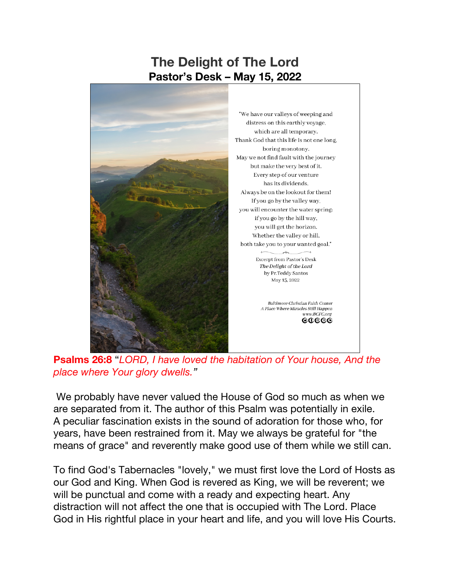## **The Delight of The Lord Pastor's Desk – May 15, 2022**



**Psalms 26:8** "*LORD, I have loved the habitation of Your house, And the place where Your glory dwells."*

www.BCFC.org  ${\tt cocooc}$ 

We probably have never valued the House of God so much as when we are separated from it. The author of this Psalm was potentially in exile. A peculiar fascination exists in the sound of adoration for those who, for years, have been restrained from it. May we always be grateful for "the means of grace" and reverently make good use of them while we still can.

To find God's Tabernacles "lovely," we must first love the Lord of Hosts as our God and King. When God is revered as King, we will be reverent; we will be punctual and come with a ready and expecting heart. Any distraction will not affect the one that is occupied with The Lord. Place God in His rightful place in your heart and life, and you will love His Courts.